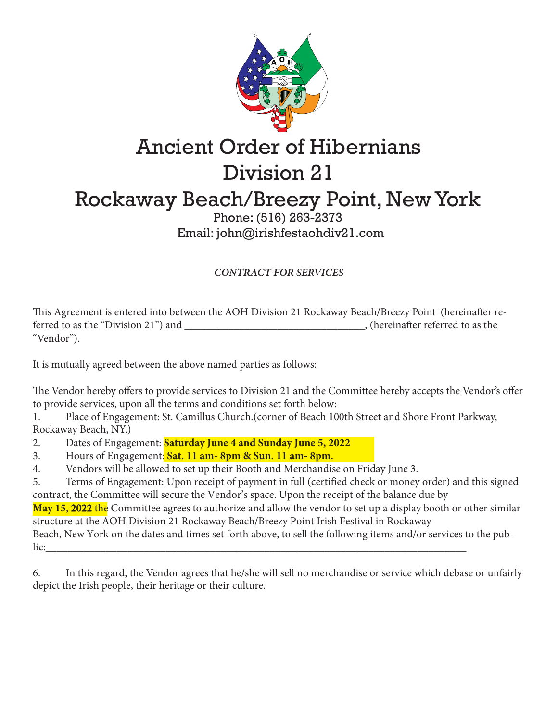

## Ancient Order of Hibernians Division 21 Rockaway Beach/Breezy Point, New York

## Phone: (516) 263-2373 Email: john@irishfestaohdiv21.com

## *CONTRACT FOR SERVICES*

This Agreement is entered into between the AOH Division 21 Rockaway Beach/Breezy Point (hereinafter referred to as the "Division 21") and <br>
(hereinafter referred to as the "Vendor").

It is mutually agreed between the above named parties as follows:

The Vendor hereby offers to provide services to Division 21 and the Committee hereby accepts the Vendor's offer to provide services, upon all the terms and conditions set forth below:

1. Place of Engagement: St. Camillus Church.(corner of Beach 100th Street and Shore Front Parkway, Rockaway Beach, NY.)

2. Dates of Engagement: **Saturday June 4 and Sunday June 5, 2022**

3. Hours of Engagement: **Sat. 11 am- 8pm & Sun. 11 am- 8pm.**

4. Vendors will be allowed to set up their Booth and Merchandise on Friday June 3.

5. Terms of Engagement: Upon receipt of payment in full (certified check or money order) and this signed contract, the Committee will secure the Vendor's space. Upon the receipt of the balance due by

**May 15**, 2022 the Committee agrees to authorize and allow the vendor to set up a display booth or other similar structure at the AOH Division 21 Rockaway Beach/Breezy Point Irish Festival in Rockaway

Beach, New York on the dates and times set forth above, to sell the following items and/or services to the public:\_\_\_\_\_\_\_\_\_\_\_\_\_\_\_\_\_\_\_\_\_\_\_\_\_\_\_\_\_\_\_\_\_\_\_\_\_\_\_\_\_\_\_\_\_\_\_\_\_\_\_\_\_\_\_\_\_\_\_\_\_\_\_\_\_\_\_\_\_\_\_\_\_\_\_\_\_

6. In this regard, the Vendor agrees that he/she will sell no merchandise or service which debase or unfairly depict the Irish people, their heritage or their culture.